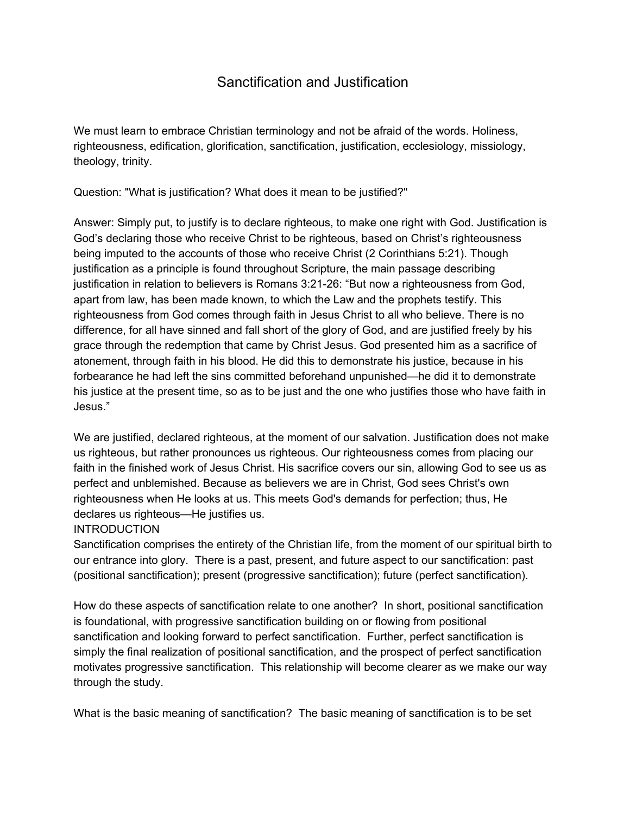## Sanctification and Justification

We must learn to embrace Christian terminology and not be afraid of the words. Holiness, righteousness, edification, glorification, sanctification, justification, ecclesiology, missiology, theology, trinity.

Question: "What is justification? What does it mean to be justified?"

Answer: Simply put, to justify is to declare righteous, to make one right with God. Justification is God's declaring those who receive Christ to be righteous, based on Christ's righteousness being imputed to the accounts of those who receive Christ (2 Corinthians 5:21). Though justification as a principle is found throughout Scripture, the main passage describing justification in relation to believers is Romans 3:21-26: "But now a righteousness from God, apart from law, has been made known, to which the Law and the prophets testify. This righteousness from God comes through faith in Jesus Christ to all who believe. There is no difference, for all have sinned and fall short of the glory of God, and are justified freely by his grace through the redemption that came by Christ Jesus. God presented him as a sacrifice of atonement, through faith in his blood. He did this to demonstrate his justice, because in his forbearance he had left the sins committed beforehand unpunished—he did it to demonstrate his justice at the present time, so as to be just and the one who justifies those who have faith in Jesus."

We are justified, declared righteous, at the moment of our salvation. Justification does not make us righteous, but rather pronounces us righteous. Our righteousness comes from placing our faith in the finished work of Jesus Christ. His sacrifice covers our sin, allowing God to see us as perfect and unblemished. Because as believers we are in Christ, God sees Christ's own righteousness when He looks at us. This meets God's demands for perfection; thus, He declares us righteous—He justifies us.

## **INTRODUCTION**

Sanctification comprises the entirety of the Christian life, from the moment of our spiritual birth to our entrance into glory. There is a past, present, and future aspect to our sanctification: past (positional sanctification); present (progressive sanctification); future (perfect sanctification).

How do these aspects of sanctification relate to one another? In short, positional sanctification is foundational, with progressive sanctification building on or flowing from positional sanctification and looking forward to perfect sanctification. Further, perfect sanctification is simply the final realization of positional sanctification, and the prospect of perfect sanctification motivates progressive sanctification. This relationship will become clearer as we make our way through the study.

What is the basic meaning of sanctification? The basic meaning of sanctification is to be set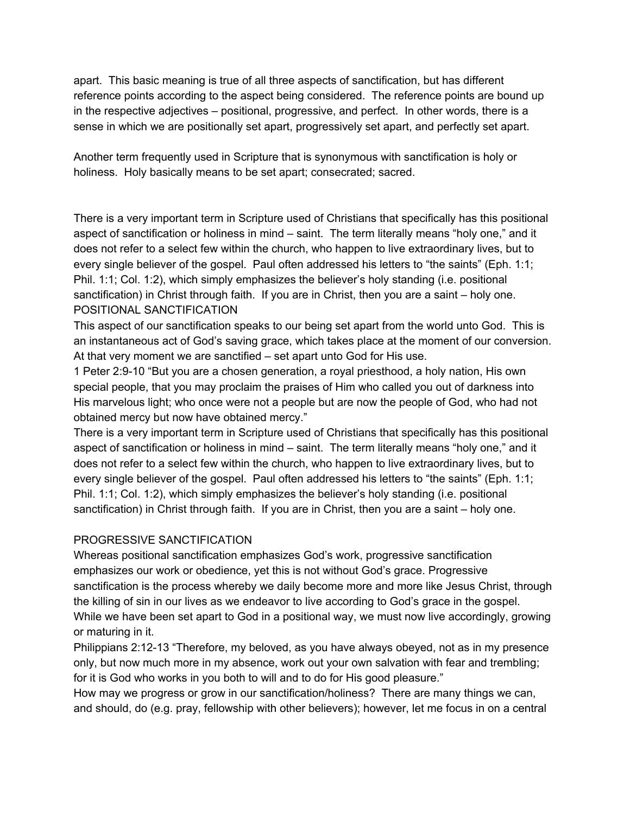apart. This basic meaning is true of all three aspects of sanctification, but has different reference points according to the aspect being considered. The reference points are bound up in the respective adjectives – positional, progressive, and perfect. In other words, there is a sense in which we are positionally set apart, progressively set apart, and perfectly set apart.

Another term frequently used in Scripture that is synonymous with sanctification is holy or holiness. Holy basically means to be set apart; consecrated; sacred.

There is a very important term in Scripture used of Christians that specifically has this positional aspect of sanctification or holiness in mind – saint. The term literally means "holy one," and it does not refer to a select few within the church, who happen to live extraordinary lives, but to every single believer of the gospel. Paul often addressed his letters to "the saints" (Eph. 1:1; Phil. 1:1; Col. 1:2), which simply emphasizes the believer's holy standing (i.e. positional sanctification) in Christ through faith. If you are in Christ, then you are a saint – holy one. POSITIONAL SANCTIFICATION

This aspect of our sanctification speaks to our being set apart from the world unto God. This is an instantaneous act of God's saving grace, which takes place at the moment of our conversion. At that very moment we are sanctified – set apart unto God for His use.

1 Peter 2:9-10 "But you are a chosen generation, a royal priesthood, a holy nation, His own special people, that you may proclaim the praises of Him who called you out of darkness into His marvelous light; who once were not a people but are now the people of God, who had not obtained mercy but now have obtained mercy."

There is a very important term in Scripture used of Christians that specifically has this positional aspect of sanctification or holiness in mind – saint. The term literally means "holy one," and it does not refer to a select few within the church, who happen to live extraordinary lives, but to every single believer of the gospel. Paul often addressed his letters to "the saints" (Eph. 1:1; Phil. 1:1; Col. 1:2), which simply emphasizes the believer's holy standing (i.e. positional sanctification) in Christ through faith. If you are in Christ, then you are a saint – holy one.

## PROGRESSIVE SANCTIFICATION

Whereas positional sanctification emphasizes God's work, progressive sanctification emphasizes our work or obedience, yet this is not without God's grace. Progressive sanctification is the process whereby we daily become more and more like Jesus Christ, through the killing of sin in our lives as we endeavor to live according to God's grace in the gospel. While we have been set apart to God in a positional way, we must now live accordingly, growing or maturing in it.

Philippians 2:12-13 "Therefore, my beloved, as you have always obeyed, not as in my presence only, but now much more in my absence, work out your own salvation with fear and trembling; for it is God who works in you both to will and to do for His good pleasure."

How may we progress or grow in our sanctification/holiness? There are many things we can, and should, do (e.g. pray, fellowship with other believers); however, let me focus in on a central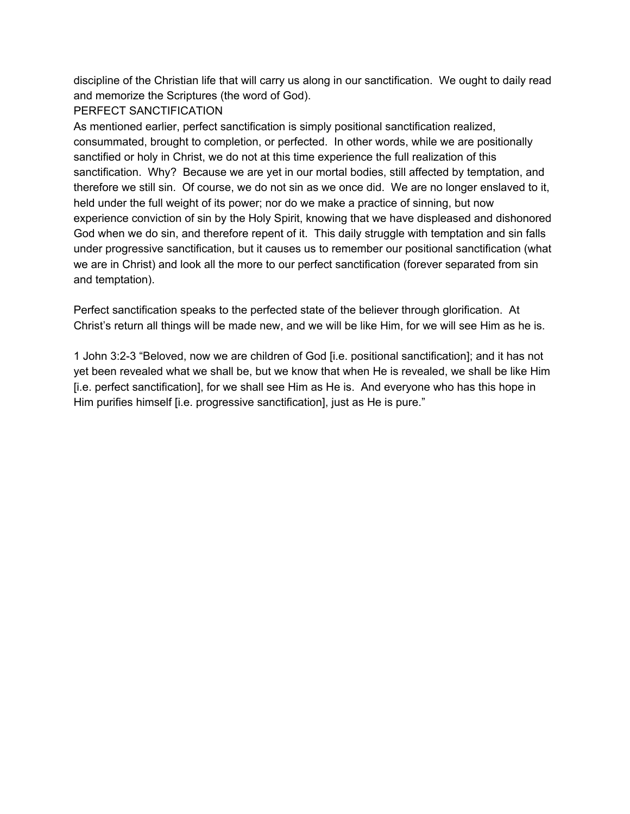discipline of the Christian life that will carry us along in our sanctification. We ought to daily read and memorize the Scriptures (the word of God).

## PERFECT SANCTIFICATION

As mentioned earlier, perfect sanctification is simply positional sanctification realized, consummated, brought to completion, or perfected. In other words, while we are positionally sanctified or holy in Christ, we do not at this time experience the full realization of this sanctification. Why? Because we are yet in our mortal bodies, still affected by temptation, and therefore we still sin. Of course, we do not sin as we once did. We are no longer enslaved to it, held under the full weight of its power; nor do we make a practice of sinning, but now experience conviction of sin by the Holy Spirit, knowing that we have displeased and dishonored God when we do sin, and therefore repent of it. This daily struggle with temptation and sin falls under progressive sanctification, but it causes us to remember our positional sanctification (what we are in Christ) and look all the more to our perfect sanctification (forever separated from sin and temptation).

Perfect sanctification speaks to the perfected state of the believer through glorification. At Christ's return all things will be made new, and we will be like Him, for we will see Him as he is.

1 John 3:2-3 "Beloved, now we are children of God [i.e. positional sanctification]; and it has not yet been revealed what we shall be, but we know that when He is revealed, we shall be like Him [i.e. perfect sanctification], for we shall see Him as He is. And everyone who has this hope in Him purifies himself [i.e. progressive sanctification], just as He is pure."